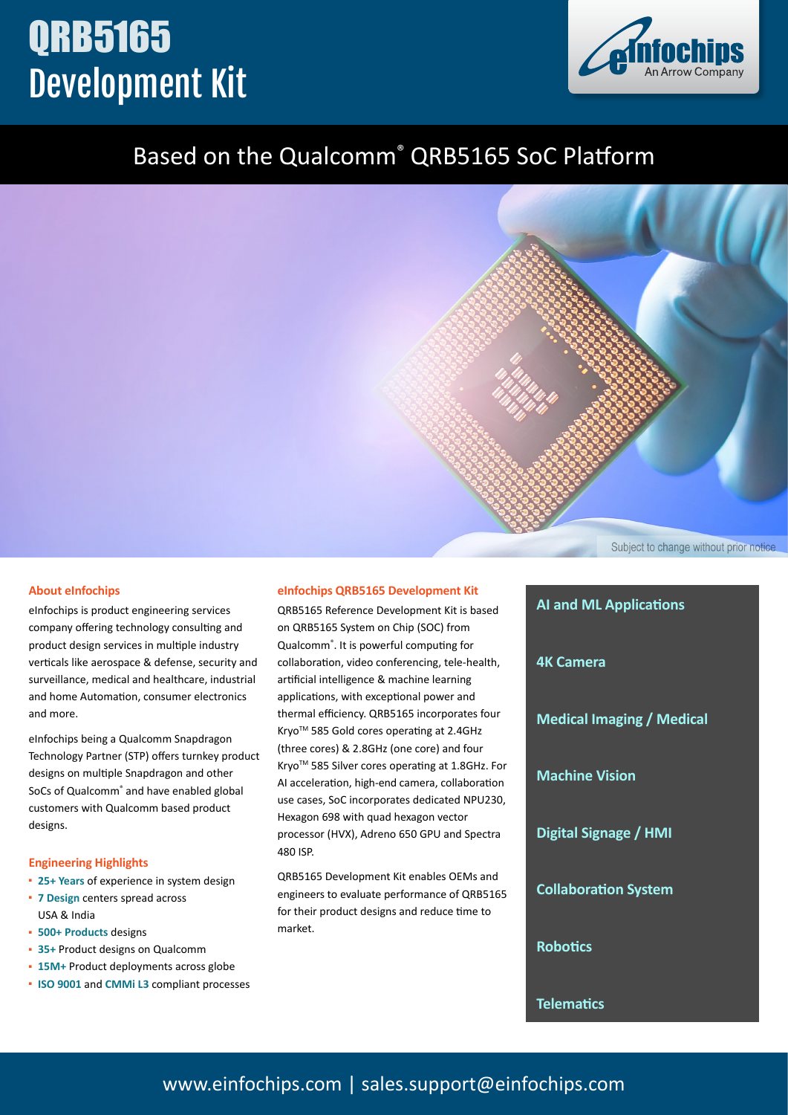# QRB5165 Development Kit



## Based on the Qualcomm® QRB5165 SoC Platform

Subject to change without prior notice

#### **About eInfochips**

eInfochips is product engineering services company offering technology consulting and product design services in multiple industry verticals like aerospace & defense, security and surveillance, medical and healthcare, industrial and home Automation, consumer electronics and more.

eInfochips being a Qualcomm Snapdragon Technology Partner (STP) offers turnkey product designs on multiple Snapdragon and other SoCs of Qualcomm® and have enabled global customers with Qualcomm based product designs.

#### **Engineering Highlights**

- **▪ 25+ Years** of experience in system design
- **▪ 7 Design** centers spread across USA & India
- **▪ 500+ Products** designs
- **▪ 35+** Product designs on Qualcomm
- **▪ 15M+** Product deployments across globe
- **▪ ISO 9001** and **CMMi L3** compliant processes

#### **eInfochips QRB5165 Development Kit**

QRB5165 Reference Development Kit is based on QRB5165 System on Chip (SOC) from Qualcomm® . It is powerful computing for collaboration, video conferencing, tele-health, artificial intelligence & machine learning applications, with exceptional power and thermal efficiency. QRB5165 incorporates four Kryo<sup>™</sup> 585 Gold cores operating at 2.4GHz (three cores) & 2.8GHz (one core) and four KryoTM 585 Silver cores operating at 1.8GHz. For AI acceleration, high-end camera, collaboration use cases, SoC incorporates dedicated NPU230, Hexagon 698 with quad hexagon vector processor (HVX), Adreno 650 GPU and Spectra 480 ISP.

QRB5165 Development Kit enables OEMs and engineers to evaluate performance of QRB5165 for their product designs and reduce time to market.